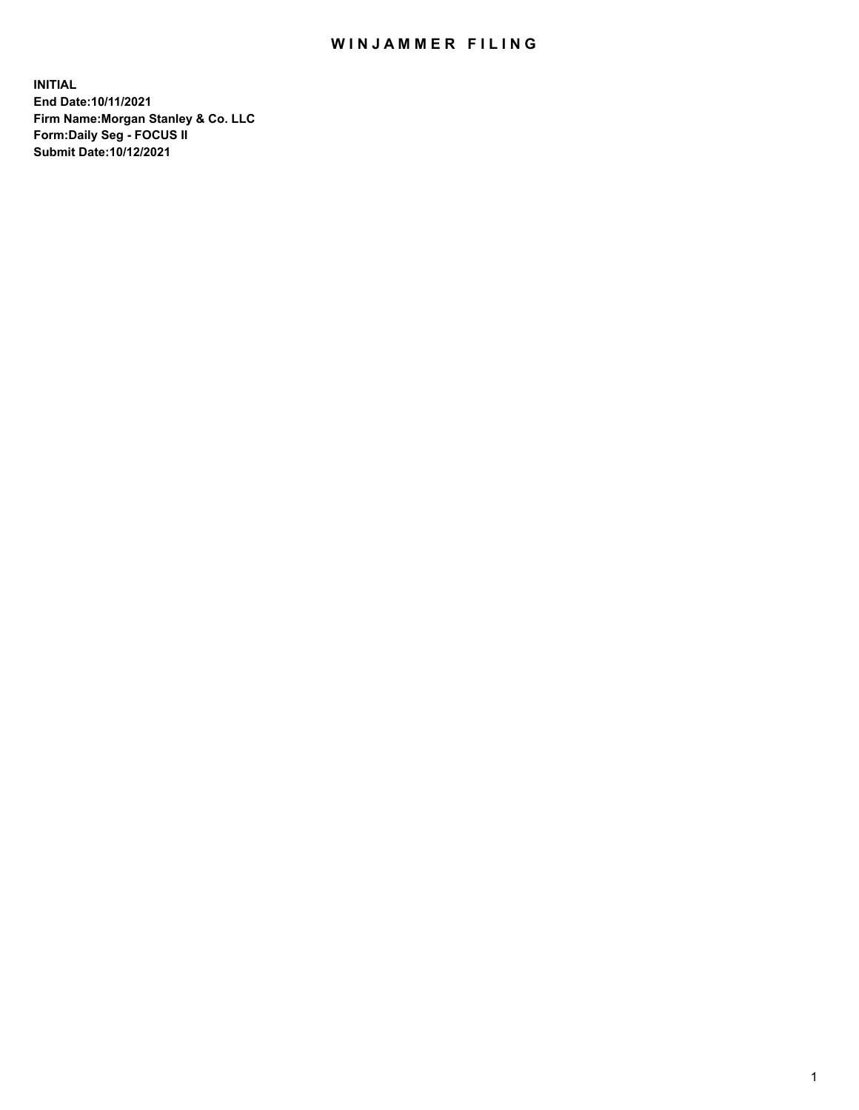## WIN JAMMER FILING

**INITIAL End Date:10/11/2021 Firm Name:Morgan Stanley & Co. LLC Form:Daily Seg - FOCUS II Submit Date:10/12/2021**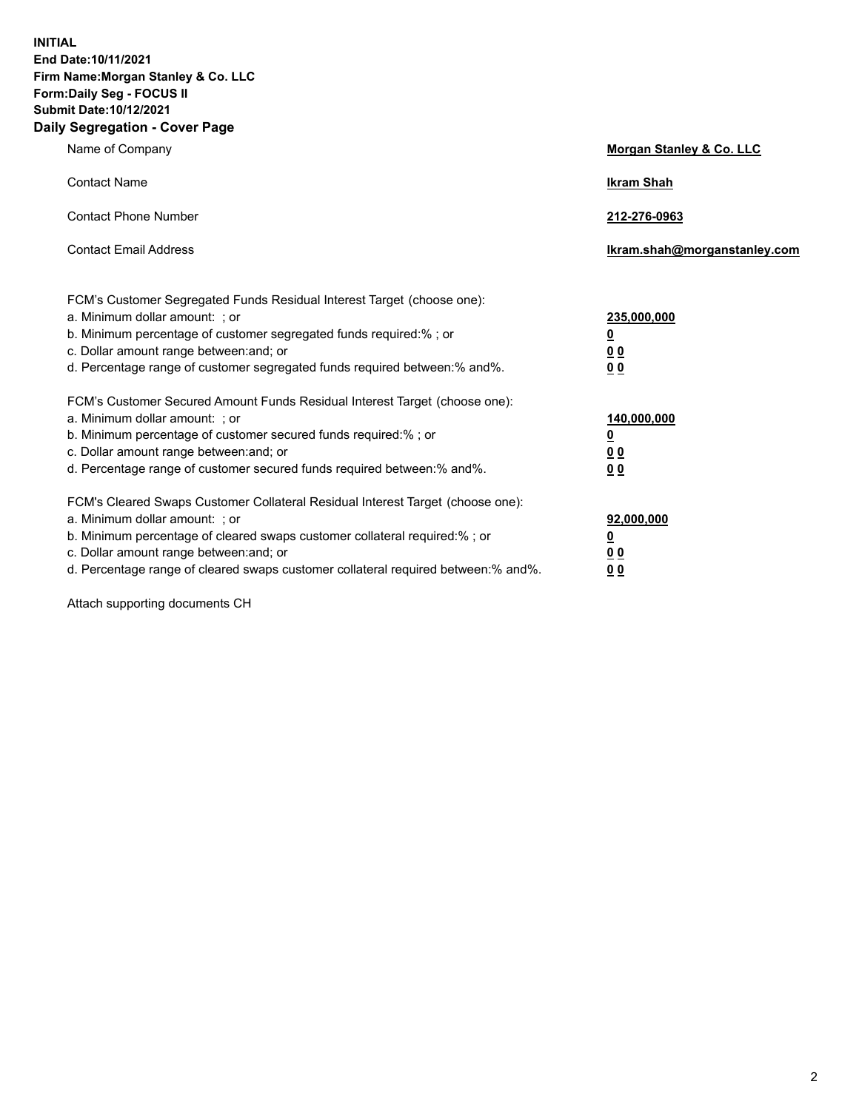**INITIAL End Date:10/11/2021 Firm Name:Morgan Stanley & Co. LLC Form:Daily Seg - FOCUS II Submit Date:10/12/2021 Daily Segregation - Cover Page**

| Name of Company                                                                                                                                                                                                                                                                                                                | Morgan Stanley & Co. LLC                                |
|--------------------------------------------------------------------------------------------------------------------------------------------------------------------------------------------------------------------------------------------------------------------------------------------------------------------------------|---------------------------------------------------------|
| <b>Contact Name</b>                                                                                                                                                                                                                                                                                                            | <b>Ikram Shah</b>                                       |
| <b>Contact Phone Number</b>                                                                                                                                                                                                                                                                                                    | 212-276-0963                                            |
| <b>Contact Email Address</b>                                                                                                                                                                                                                                                                                                   | Ikram.shah@morganstanley.com                            |
| FCM's Customer Segregated Funds Residual Interest Target (choose one):<br>a. Minimum dollar amount: ; or<br>b. Minimum percentage of customer segregated funds required:% ; or<br>c. Dollar amount range between: and; or<br>d. Percentage range of customer segregated funds required between:% and%.                         | 235,000,000<br><u>0</u><br>0 <sup>0</sup><br>00         |
| FCM's Customer Secured Amount Funds Residual Interest Target (choose one):<br>a. Minimum dollar amount: ; or<br>b. Minimum percentage of customer secured funds required:%; or<br>c. Dollar amount range between: and; or<br>d. Percentage range of customer secured funds required between:% and%.                            | 140,000,000<br><u>0</u><br><u>0 0</u><br>0 <sub>0</sub> |
| FCM's Cleared Swaps Customer Collateral Residual Interest Target (choose one):<br>a. Minimum dollar amount: ; or<br>b. Minimum percentage of cleared swaps customer collateral required:% ; or<br>c. Dollar amount range between: and; or<br>d. Percentage range of cleared swaps customer collateral required between:% and%. | 92,000,000<br><u>0</u><br><u>00</u><br>0 <sub>0</sub>   |

Attach supporting documents CH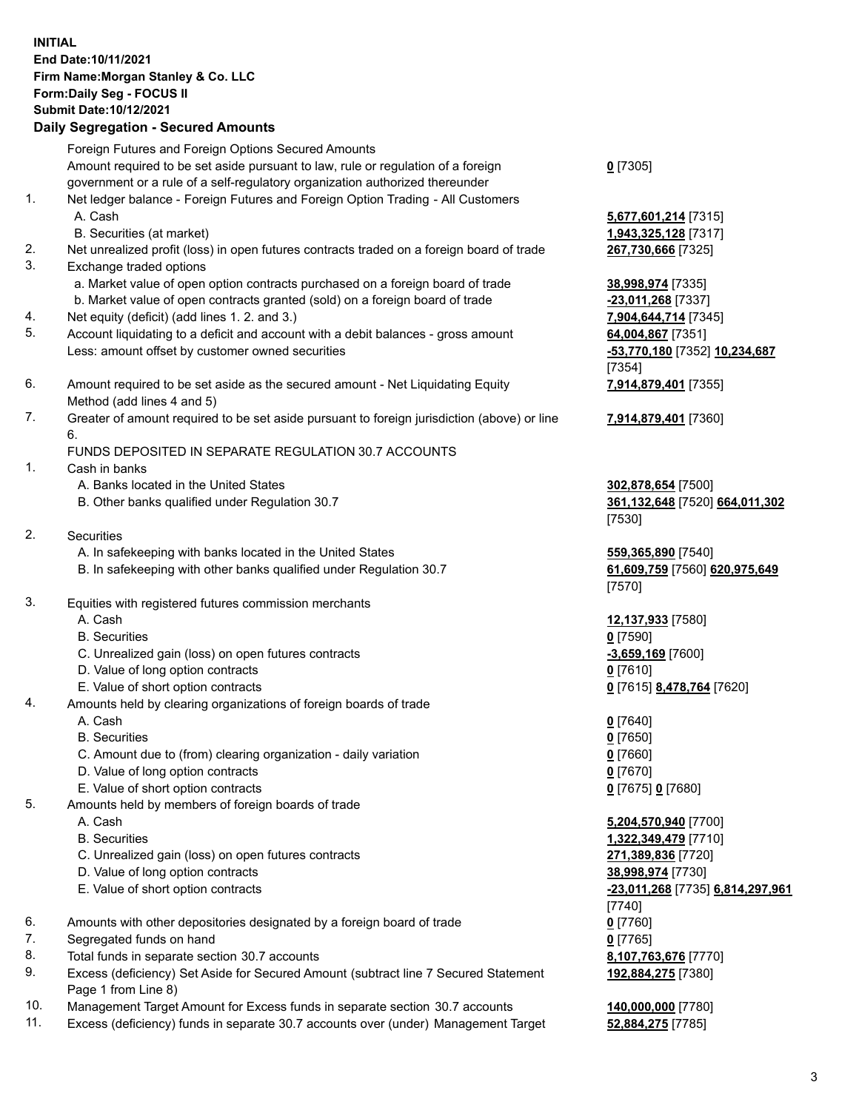## **INITIAL End Date:10/11/2021 Firm Name:Morgan Stanley & Co. LLC Form:Daily Seg - FOCUS II Submit Date:10/12/2021**

## **Daily Segregation - Secured Amounts**

Foreign Futures and Foreign Options Secured Amounts Amount required to be set aside pursuant to law, rule or regulation of a foreign government or a rule of a self-regulatory organization authorized thereunder 1. Net ledger balance - Foreign Futures and Foreign Option Trading - All Customers A. Cash **5,677,601,214** [7315] B. Securities (at market) **1,943,325,128** [7317] 2. Net unrealized profit (loss) in open futures contracts traded on a foreign board of trade **267,730,666** [7325]

- 3. Exchange traded options
	- a. Market value of open option contracts purchased on a foreign board of trade **38,998,974** [7335]
	- b. Market value of open contracts granted (sold) on a foreign board of trade **-23,011,268** [7337]
- 4. Net equity (deficit) (add lines 1. 2. and 3.) **7,904,644,714** [7345]
- 5. Account liquidating to a deficit and account with a debit balances gross amount **64,004,867** [7351] Less: amount offset by customer owned securities **-53,770,180** [7352] **10,234,687**
- 6. Amount required to be set aside as the secured amount Net Liquidating Equity Method (add lines 4 and 5)
- 7. Greater of amount required to be set aside pursuant to foreign jurisdiction (above) or line 6.

## FUNDS DEPOSITED IN SEPARATE REGULATION 30.7 ACCOUNTS

- 1. Cash in banks
	- A. Banks located in the United States **302,878,654** [7500]
	- B. Other banks qualified under Regulation 30.7 **361,132,648** [7520] **664,011,302**
- 2. Securities
	- A. In safekeeping with banks located in the United States **559,365,890** [7540]
	- B. In safekeeping with other banks qualified under Regulation 30.7 **61,609,759** [7560] **620,975,649**
- 3. Equities with registered futures commission merchants
	-
	- B. Securities **0** [7590]
	- C. Unrealized gain (loss) on open futures contracts **-3,659,169** [7600]
	- D. Value of long option contracts **0** [7610]
	- E. Value of short option contracts **0** [7615] **8,478,764** [7620]
- 4. Amounts held by clearing organizations of foreign boards of trade
	- A. Cash **0** [7640]
	- B. Securities **0** [7650]
	- C. Amount due to (from) clearing organization daily variation **0** [7660]
	- D. Value of long option contracts **0** [7670]
	- E. Value of short option contracts **0** [7675] **0** [7680]
- 5. Amounts held by members of foreign boards of trade
	-
	-
	- C. Unrealized gain (loss) on open futures contracts **271,389,836** [7720]
	- D. Value of long option contracts **38,998,974** [7730]
	- E. Value of short option contracts **-23,011,268** [7735] **6,814,297,961**
- 6. Amounts with other depositories designated by a foreign board of trade **0** [7760]
- 7. Segregated funds on hand **0** [7765]
- 8. Total funds in separate section 30.7 accounts **8,107,763,676** [7770]
- 9. Excess (deficiency) Set Aside for Secured Amount (subtract line 7 Secured Statement Page 1 from Line 8)
- 10. Management Target Amount for Excess funds in separate section 30.7 accounts **140,000,000** [7780]
- 11. Excess (deficiency) funds in separate 30.7 accounts over (under) Management Target **52,884,275** [7785]

**0** [7305]

[7354] **7,914,879,401** [7355]

**7,914,879,401** [7360]

[7530]

[7570]

A. Cash **12,137,933** [7580]

 A. Cash **5,204,570,940** [7700] B. Securities **1,322,349,479** [7710] [7740] **192,884,275** [7380]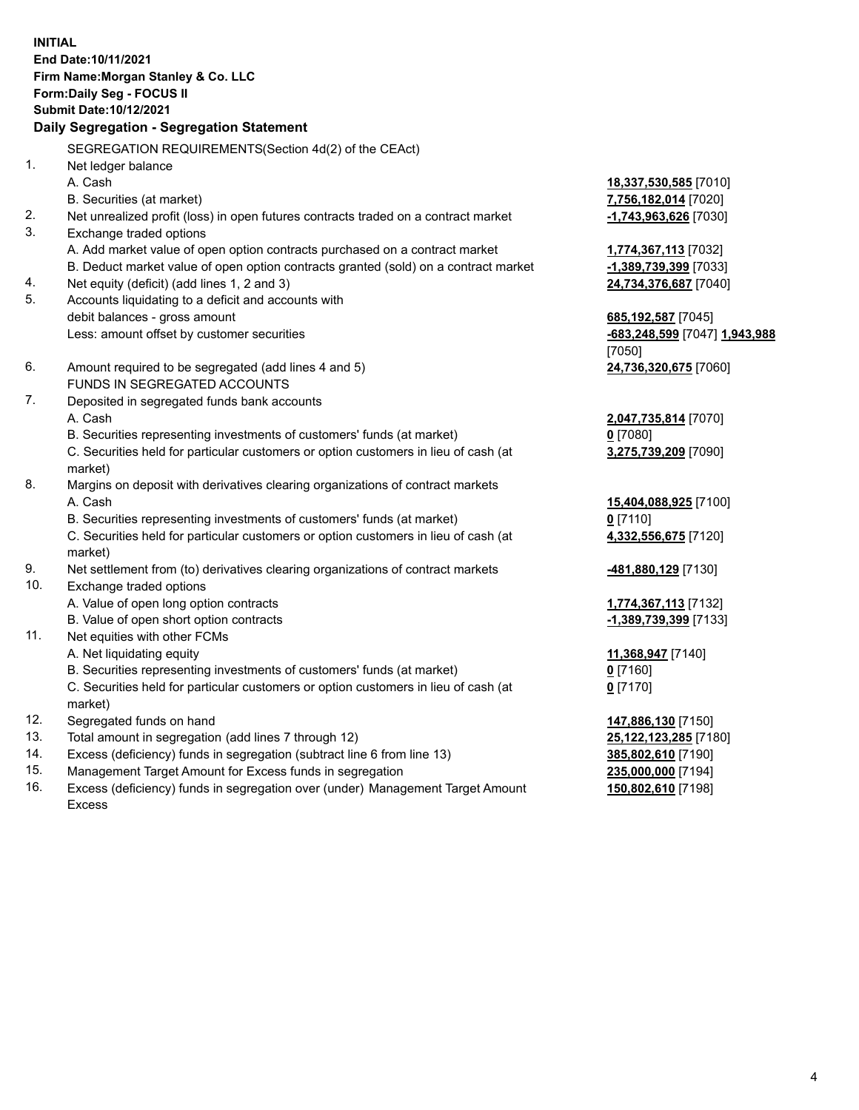**INITIAL End Date:10/11/2021 Firm Name:Morgan Stanley & Co. LLC Form:Daily Seg - FOCUS II Submit Date:10/12/2021 Daily Segregation - Segregation Statement** SEGREGATION REQUIREMENTS(Section 4d(2) of the CEAct) 1. Net ledger balance A. Cash **18,337,530,585** [7010] B. Securities (at market) **7,756,182,014** [7020] 2. Net unrealized profit (loss) in open futures contracts traded on a contract market **-1,743,963,626** [7030] 3. Exchange traded options A. Add market value of open option contracts purchased on a contract market **1,774,367,113** [7032] B. Deduct market value of open option contracts granted (sold) on a contract market **-1,389,739,399** [7033] 4. Net equity (deficit) (add lines 1, 2 and 3) **24,734,376,687** [7040] 5. Accounts liquidating to a deficit and accounts with debit balances - gross amount **685,192,587** [7045] Less: amount offset by customer securities **-683,248,599** [7047] **1,943,988** [7050] 6. Amount required to be segregated (add lines 4 and 5) **24,736,320,675** [7060] FUNDS IN SEGREGATED ACCOUNTS 7. Deposited in segregated funds bank accounts A. Cash **2,047,735,814** [7070] B. Securities representing investments of customers' funds (at market) **0** [7080] C. Securities held for particular customers or option customers in lieu of cash (at market) **3,275,739,209** [7090] 8. Margins on deposit with derivatives clearing organizations of contract markets A. Cash **15,404,088,925** [7100] B. Securities representing investments of customers' funds (at market) **0** [7110] C. Securities held for particular customers or option customers in lieu of cash (at market) **4,332,556,675** [7120] 9. Net settlement from (to) derivatives clearing organizations of contract markets **-481,880,129** [7130] 10. Exchange traded options A. Value of open long option contracts **1,774,367,113** [7132] B. Value of open short option contracts **-1,389,739,399** [7133] 11. Net equities with other FCMs A. Net liquidating equity **11,368,947** [7140] B. Securities representing investments of customers' funds (at market) **0** [7160] C. Securities held for particular customers or option customers in lieu of cash (at market) **0** [7170] 12. Segregated funds on hand **147,886,130** [7150] 13. Total amount in segregation (add lines 7 through 12) **25,122,123,285** [7180] 14. Excess (deficiency) funds in segregation (subtract line 6 from line 13) **385,802,610** [7190] 15. Management Target Amount for Excess funds in segregation **235,000,000** [7194]

16. Excess (deficiency) funds in segregation over (under) Management Target Amount Excess

**150,802,610** [7198]